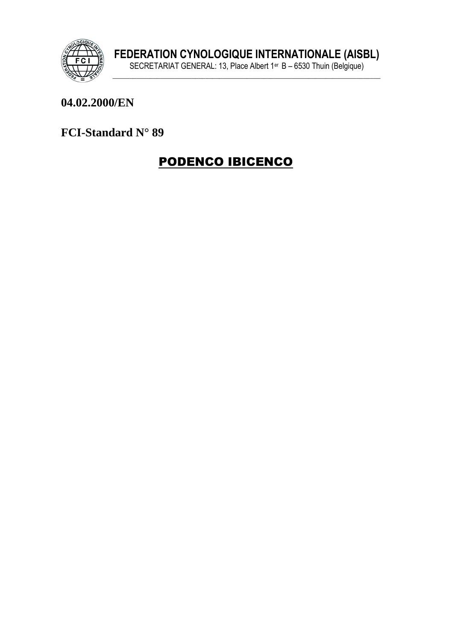

#### 04.02.2000/EN

FCI-Standard N° 89

# **PODENCO IBICENCO**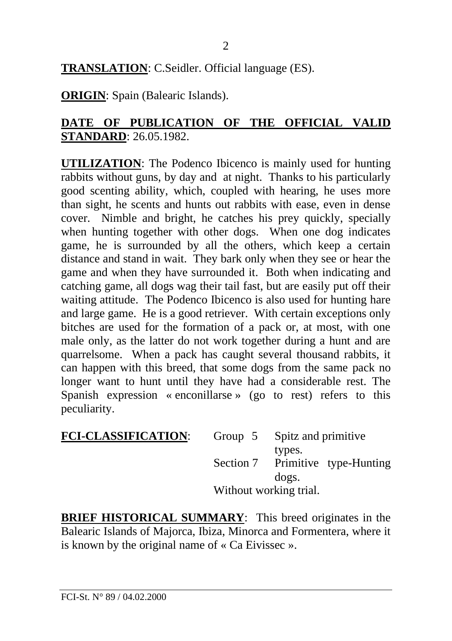**TRANSLATION**: C.Seidler. Official language (ES).

**ORIGIN**: Spain (Balearic Islands).

### **DATE OF PUBLICATION OF THE OFFICIAL VALID STANDARD**: 26.05.1982.

**UTILIZATION**: The Podenco Ibicenco is mainly used for hunting rabbits without guns, by day and at night. Thanks to his particularly good scenting ability, which, coupled with hearing, he uses more than sight, he scents and hunts out rabbits with ease, even in dense cover. Nimble and bright, he catches his prey quickly, specially when hunting together with other dogs. When one dog indicates game, he is surrounded by all the others, which keep a certain distance and stand in wait. They bark only when they see or hear the game and when they have surrounded it. Both when indicating and catching game, all dogs wag their tail fast, but are easily put off their waiting attitude. The Podenco Ibicenco is also used for hunting hare and large game. He is a good retriever. With certain exceptions only bitches are used for the formation of a pack or, at most, with one male only, as the latter do not work together during a hunt and are quarrelsome. When a pack has caught several thousand rabbits, it can happen with this breed, that some dogs from the same pack no longer want to hunt until they have had a considerable rest. The Spanish expression « enconillarse » (go to rest) refers to this peculiarity.

| <b>FCI-CLASSIFICATION:</b> |                        | Group 5 Spitz and primitive |
|----------------------------|------------------------|-----------------------------|
|                            |                        | types.                      |
|                            | Section 7              | Primitive type-Hunting      |
|                            |                        | dogs.                       |
|                            | Without working trial. |                             |

**BRIEF HISTORICAL SUMMARY**: This breed originates in the Balearic Islands of Majorca, Ibiza, Minorca and Formentera, where it is known by the original name of « Ca Eivissec ».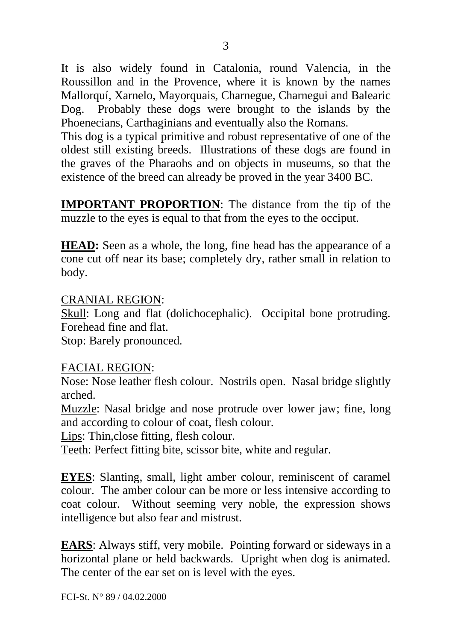It is also widely found in Catalonia, round Valencia, in the Roussillon and in the Provence, where it is known by the names Mallorquí, Xarnelo, Mayorquais, Charnegue, Charnegui and Balearic Dog. Probably these dogs were brought to the islands by the Phoenecians, Carthaginians and eventually also the Romans.

This dog is a typical primitive and robust representative of one of the oldest still existing breeds. Illustrations of these dogs are found in the graves of the Pharaohs and on objects in museums, so that the existence of the breed can already be proved in the year 3400 BC.

**IMPORTANT PROPORTION**: The distance from the tip of the muzzle to the eyes is equal to that from the eyes to the occiput.

**HEAD:** Seen as a whole, the long, fine head has the appearance of a cone cut off near its base; completely dry, rather small in relation to body.

#### CRANIAL REGION:

Skull: Long and flat (dolichocephalic). Occipital bone protruding. Forehead fine and flat.

Stop: Barely pronounced.

#### FACIAL REGION:

Nose: Nose leather flesh colour. Nostrils open. Nasal bridge slightly arched.

Muzzle: Nasal bridge and nose protrude over lower jaw; fine, long and according to colour of coat, flesh colour.

Lips: Thin,close fitting, flesh colour.

Teeth: Perfect fitting bite, scissor bite, white and regular.

**EYES**: Slanting, small, light amber colour, reminiscent of caramel colour. The amber colour can be more or less intensive according to coat colour. Without seeming very noble, the expression shows intelligence but also fear and mistrust.

**EARS**: Always stiff, very mobile. Pointing forward or sideways in a horizontal plane or held backwards. Upright when dog is animated. The center of the ear set on is level with the eyes.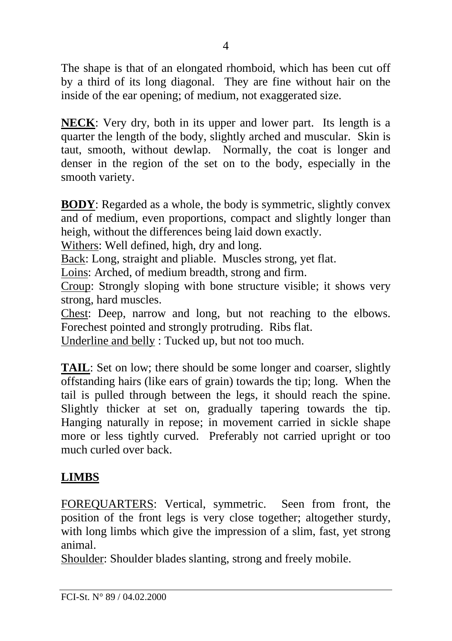The shape is that of an elongated rhomboid, which has been cut off by a third of its long diagonal. They are fine without hair on the inside of the ear opening; of medium, not exaggerated size.

**NECK**: Very dry, both in its upper and lower part. Its length is a quarter the length of the body, slightly arched and muscular. Skin is taut, smooth, without dewlap. Normally, the coat is longer and denser in the region of the set on to the body, especially in the smooth variety.

**BODY**: Regarded as a whole, the body is symmetric, slightly convex and of medium, even proportions, compact and slightly longer than heigh, without the differences being laid down exactly.

Withers: Well defined, high, dry and long.

Back: Long, straight and pliable. Muscles strong, yet flat.

Loins: Arched, of medium breadth, strong and firm.

Croup: Strongly sloping with bone structure visible; it shows very strong, hard muscles.

Chest: Deep, narrow and long, but not reaching to the elbows. Forechest pointed and strongly protruding. Ribs flat.

Underline and belly : Tucked up, but not too much.

**TAIL:** Set on low; there should be some longer and coarser, slightly offstanding hairs (like ears of grain) towards the tip; long. When the tail is pulled through between the legs, it should reach the spine. Slightly thicker at set on, gradually tapering towards the tip. Hanging naturally in repose; in movement carried in sickle shape more or less tightly curved. Preferably not carried upright or too much curled over back.

# **LIMBS**

FOREQUARTERS: Vertical, symmetric. Seen from front, the position of the front legs is very close together; altogether sturdy, with long limbs which give the impression of a slim, fast, yet strong animal.

Shoulder: Shoulder blades slanting, strong and freely mobile.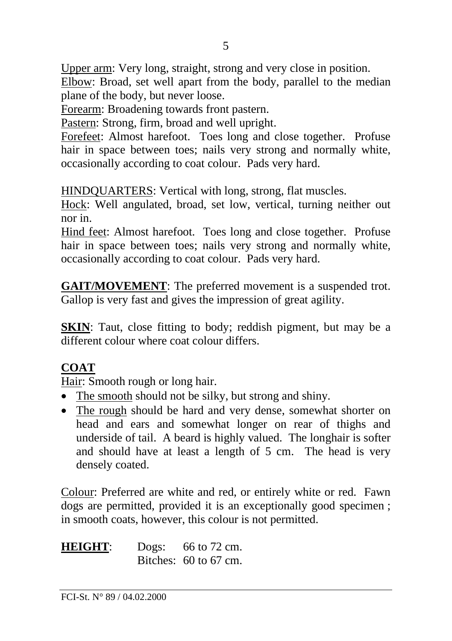Upper arm: Very long, straight, strong and very close in position. Elbow: Broad, set well apart from the body, parallel to the median plane of the body, but never loose.

Forearm: Broadening towards front pastern.

Pastern: Strong, firm, broad and well upright.

Forefeet: Almost harefoot. Toes long and close together. Profuse hair in space between toes; nails very strong and normally white, occasionally according to coat colour. Pads very hard.

HINDQUARTERS: Vertical with long, strong, flat muscles.

Hock: Well angulated, broad, set low, vertical, turning neither out nor in.

Hind feet: Almost harefoot. Toes long and close together. Profuse hair in space between toes; nails very strong and normally white, occasionally according to coat colour. Pads very hard.

**GAIT/MOVEMENT**: The preferred movement is a suspended trot. Gallop is very fast and gives the impression of great agility.

**SKIN**: Taut, close fitting to body; reddish pigment, but may be a different colour where coat colour differs.

# **COAT**

Hair: Smooth rough or long hair.

- The smooth should not be silky, but strong and shiny.
- The rough should be hard and very dense, somewhat shorter on head and ears and somewhat longer on rear of thighs and underside of tail. A beard is highly valued. The longhair is softer and should have at least a length of 5 cm. The head is very densely coated.

Colour: Preferred are white and red, or entirely white or red. Fawn dogs are permitted, provided it is an exceptionally good specimen ; in smooth coats, however, this colour is not permitted.

**HEIGHT:** Dogs: 66 to 72 cm. Bitches: 60 to 67 cm.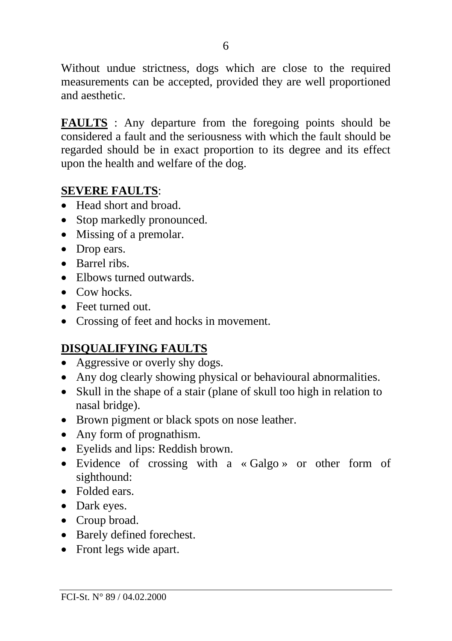Without undue strictness, dogs which are close to the required measurements can be accepted, provided they are well proportioned and aesthetic.

**FAULTS** : Any departure from the foregoing points should be considered a fault and the seriousness with which the fault should be regarded should be in exact proportion to its degree and its effect upon the health and welfare of the dog.

#### **SEVERE FAULTS**:

- Head short and broad.
- Stop markedly pronounced.
- Missing of a premolar.
- Drop ears.
- Barrel ribs.
- Elbows turned outwards
- Cow hocks.
- Feet turned out.
- Crossing of feet and hocks in movement.

# **DISQUALIFYING FAULTS**

- Aggressive or overly shy dogs.
- Any dog clearly showing physical or behavioural abnormalities.
- Skull in the shape of a stair (plane of skull too high in relation to nasal bridge).
- Brown pigment or black spots on nose leather.
- Any form of prognathism.
- Eyelids and lips: Reddish brown.
- Evidence of crossing with a « Galgo » or other form of sighthound:
- Folded ears.
- Dark eyes.
- Croup broad.
- Barely defined forechest.
- Front legs wide apart.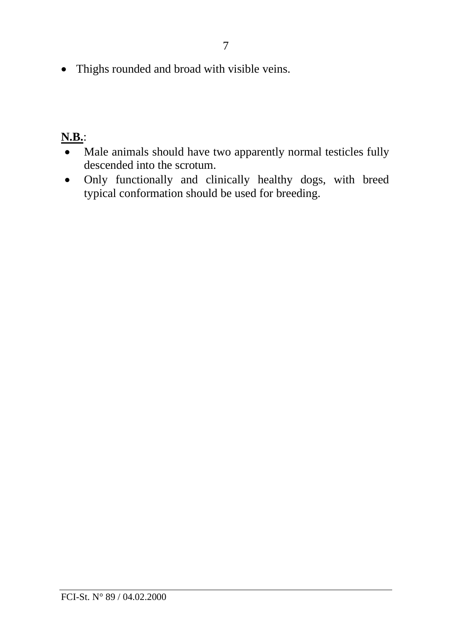• Thighs rounded and broad with visible veins.

# **N.B.**:

- Male animals should have two apparently normal testicles fully descended into the scrotum.
- Only functionally and clinically healthy dogs, with breed typical conformation should be used for breeding.